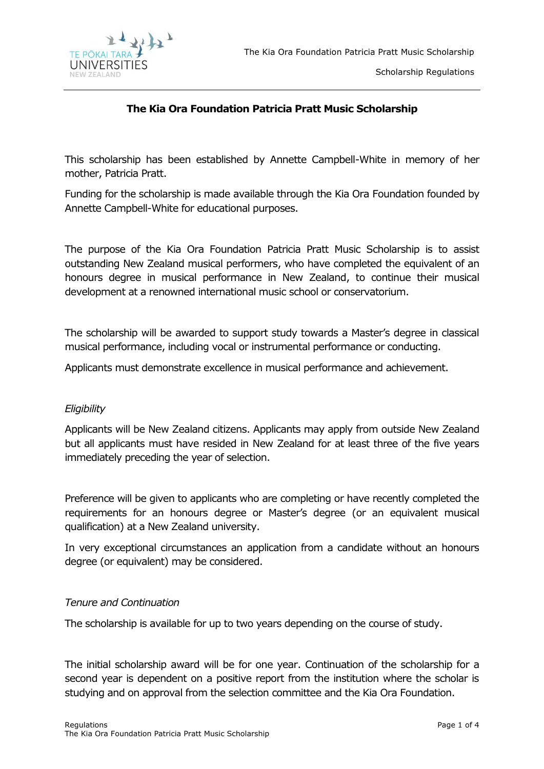

Scholarship Regulations

# **The Kia Ora Foundation Patricia Pratt Music Scholarship**

This scholarship has been established by Annette Campbell-White in memory of her mother, Patricia Pratt.

Funding for the scholarship is made available through the Kia Ora Foundation founded by Annette Campbell-White for educational purposes.

The purpose of the Kia Ora Foundation Patricia Pratt Music Scholarship is to assist outstanding New Zealand musical performers, who have completed the equivalent of an honours degree in musical performance in New Zealand, to continue their musical development at a renowned international music school or conservatorium.

The scholarship will be awarded to support study towards a Master's degree in classical musical performance, including vocal or instrumental performance or conducting.

Applicants must demonstrate excellence in musical performance and achievement.

### *Eligibility*

Applicants will be New Zealand citizens. Applicants may apply from outside New Zealand but all applicants must have resided in New Zealand for at least three of the five years immediately preceding the year of selection.

Preference will be given to applicants who are completing or have recently completed the requirements for an honours degree or Master's degree (or an equivalent musical qualification) at a New Zealand university.

In very exceptional circumstances an application from a candidate without an honours degree (or equivalent) may be considered.

### *Tenure and Continuation*

The scholarship is available for up to two years depending on the course of study.

The initial scholarship award will be for one year. Continuation of the scholarship for a second year is dependent on a positive report from the institution where the scholar is studying and on approval from the selection committee and the Kia Ora Foundation.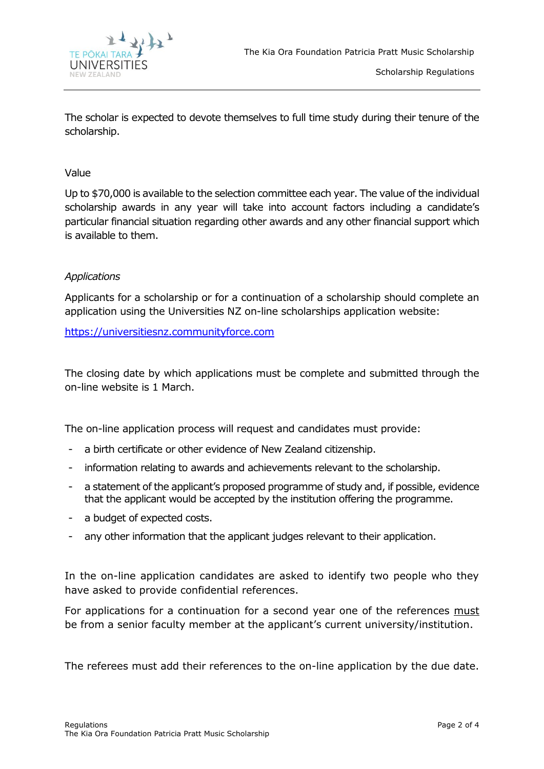

The scholar is expected to devote themselves to full time study during their tenure of the scholarship.

### Value

Up to \$70,000 is available to the selection committee each year. The value of the individual scholarship awards in any year will take into account factors including a candidate's particular financial situation regarding other awards and any other financial support which is available to them.

### *Applications*

Applicants for a scholarship or for a continuation of a scholarship should complete an application using the Universities NZ on-line scholarships application website:

[https://universitiesnz.communityforce.com](https://universitiesnz.communityforce.com/)

The closing date by which applications must be complete and submitted through the on-line website is 1 March.

The on-line application process will request and candidates must provide:

- a birth certificate or other evidence of New Zealand citizenship.
- information relating to awards and achievements relevant to the scholarship.
- a statement of the applicant's proposed programme of study and, if possible, evidence that the applicant would be accepted by the institution offering the programme.
- a budget of expected costs.
- any other information that the applicant judges relevant to their application.

In the on-line application candidates are asked to identify two people who they have asked to provide confidential references.

For applications for a continuation for a second year one of the references must be from a senior faculty member at the applicant's current university/institution.

The referees must add their references to the on-line application by the due date.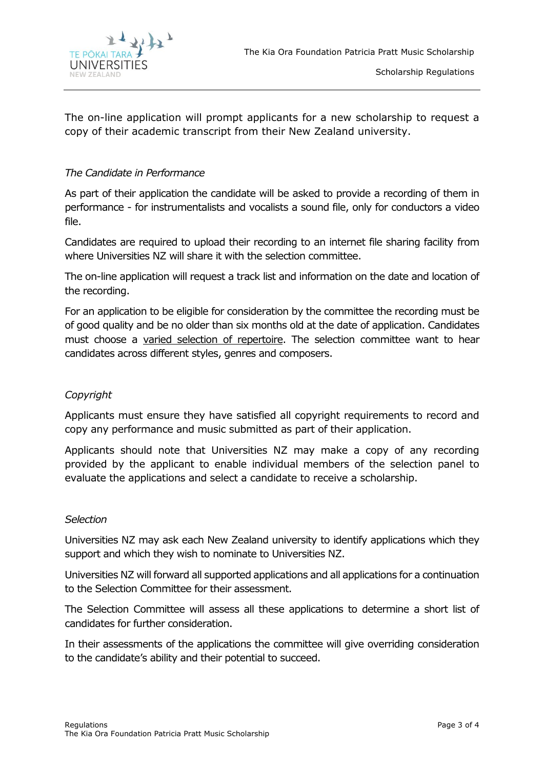

The on-line application will prompt applicants for a new scholarship to request a copy of their academic transcript from their New Zealand university.

### *The Candidate in Performance*

As part of their application the candidate will be asked to provide a recording of them in performance - for instrumentalists and vocalists a sound file, only for conductors a video file.

Candidates are required to upload their recording to an internet file sharing facility from where Universities NZ will share it with the selection committee.

The on-line application will request a track list and information on the date and location of the recording.

For an application to be eligible for consideration by the committee the recording must be of good quality and be no older than six months old at the date of application. Candidates must choose a varied selection of repertoire. The selection committee want to hear candidates across different styles, genres and composers.

# *Copyright*

Applicants must ensure they have satisfied all copyright requirements to record and copy any performance and music submitted as part of their application.

Applicants should note that Universities NZ may make a copy of any recording provided by the applicant to enable individual members of the selection panel to evaluate the applications and select a candidate to receive a scholarship.

### *Selection*

Universities NZ may ask each New Zealand university to identify applications which they support and which they wish to nominate to Universities NZ.

Universities NZ will forward all supported applications and all applications for a continuation to the Selection Committee for their assessment.

The Selection Committee will assess all these applications to determine a short list of candidates for further consideration.

In their assessments of the applications the committee will give overriding consideration to the candidate's ability and their potential to succeed.